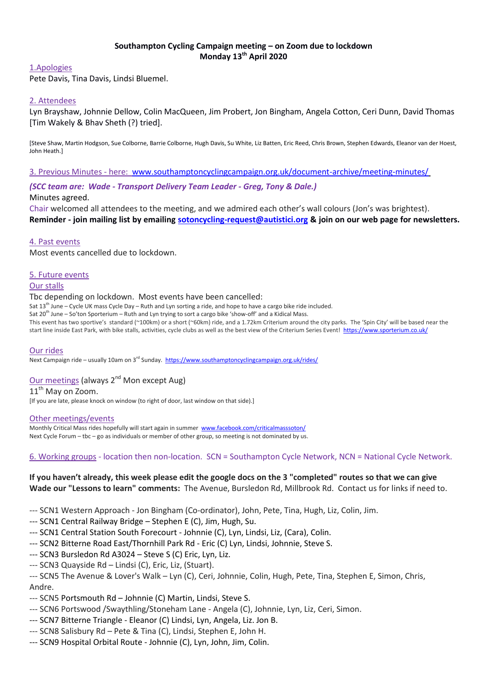## **Southampton Cycling Campaign meeting – on Zoom due to lockdown Monday 13th April 2020**

### 1.Apologies

Pete Davis, Tina Davis, Lindsi Bluemel.

## 2. Attendees

Lyn Brayshaw, Johnnie Dellow, Colin MacQueen, Jim Probert, Jon Bingham, Angela Cotton, Ceri Dunn, David Thomas [Tim Wakely & Bhav Sheth (?) tried].

[Steve Shaw, Martin Hodgson, Sue Colborne, Barrie Colborne, Hugh Davis, Su White, Liz Batten, Eric Reed, Chris Brown, Stephen Edwards, Eleanor van der Hoest, John Heath.]

3. Previous Minutes - here: [www.southamptoncyclingcampaign.org.uk/document-archive/meeting-minutes/](http://www.southamptoncyclingcampaign.org.uk/document-archive/meeting-minutes/)

*(SCC team are: Wade - Transport Delivery Team Leader - Greg, Tony & Dale.)* 

### Minutes agreed.

Chair welcomed all attendees to the meeting, and we admired each other's wall colours (Jon's was brightest). **Reminder - join mailing list by emailing [sotoncycling-request@autistici.org](mailto:sotoncycling-request@autistici.org) & join on our web page for newsletters.**

### 4. Past events

Most events cancelled due to lockdown.

### 5. Future events

#### Our stalls

#### Tbc depending on lockdown. Most events have been cancelled:

Sat 13<sup>th</sup> June – Cycle UK mass Cycle Day – Ruth and Lyn sorting a ride, and hope to have a cargo bike ride included.

Sat 20<sup>th</sup> June – So'ton Sporterium – Ruth and Lyn trying to sort a cargo bike 'show-off' and a Kidical Mass.

This event has two sportive's standard (~100km) or a short (~60km) ride, and a 1.72km Criterium around the city parks. The 'Spin City' will be based near the start line inside East Park, with bike stalls, activities, cycle clubs as well as the best view of the Criterium Series Event!<https://www.sporterium.co.uk/>

#### Our rides

Next Campaign ride – usually 10am on 3<sup>rd</sup> Sunday.<https://www.southamptoncyclingcampaign.org.uk/rides/>

## Our meetings (always 2<sup>nd</sup> Mon except Aug)

11<sup>th</sup> May on Zoom.

[If you are late, please knock on window (to right of door, last window on that side).]

#### Other meetings/events

Monthly Critical Mass rides hopefully will start again in summer [www.facebook.com/criticalmasssoton/](https://www.facebook.com/criticalmasssoton/) Next Cycle Forum – tbc – go as individuals or member of other group, so meeting is not dominated by us.

## 6. Working groups - location then non-location. SCN = Southampton Cycle Network, NCN = National Cycle Network.

## **If you haven't already, this week please edit the google docs on the 3 "completed" routes so that we can give Wade our "Lessons to learn" comments:** The Avenue, Bursledon Rd, Millbrook Rd. Contact us for links if need to.

--- SCN1 Western Approach - Jon Bingham (Co-ordinator), John, Pete, Tina, Hugh, Liz, Colin, Jim.

--- SCN1 Central Railway Bridge – Stephen E (C), Jim, Hugh, Su.

- --- SCN1 Central Station South Forecourt Johnnie (C), Lyn, Lindsi, Liz, (Cara), Colin.
- --- SCN2 Bitterne Road East/Thornhill Park Rd Eric (C) Lyn, Lindsi, Johnnie, Steve S.
- --- SCN3 Bursledon Rd A3024 Steve S (C) Eric, Lyn, Liz.
- --- SCN3 Quayside Rd Lindsi (C), Eric, Liz, (Stuart).
- --- SCN5 The Avenue & Lover's Walk Lyn (C), Ceri, Johnnie, Colin, Hugh, Pete, Tina, Stephen E, Simon, Chris, Andre.
- --- SCN5 Portsmouth Rd Johnnie (C) Martin, Lindsi, Steve S.
- --- SCN6 Portswood /Swaythling/Stoneham Lane Angela (C), Johnnie, Lyn, Liz, Ceri, Simon.
- --- SCN7 Bitterne Triangle Eleanor (C) Lindsi, Lyn, Angela, Liz. Jon B.
- --- SCN8 Salisbury Rd Pete & Tina (C), Lindsi, Stephen E, John H.
- --- SCN9 Hospital Orbital Route Johnnie (C), Lyn, John, Jim, Colin.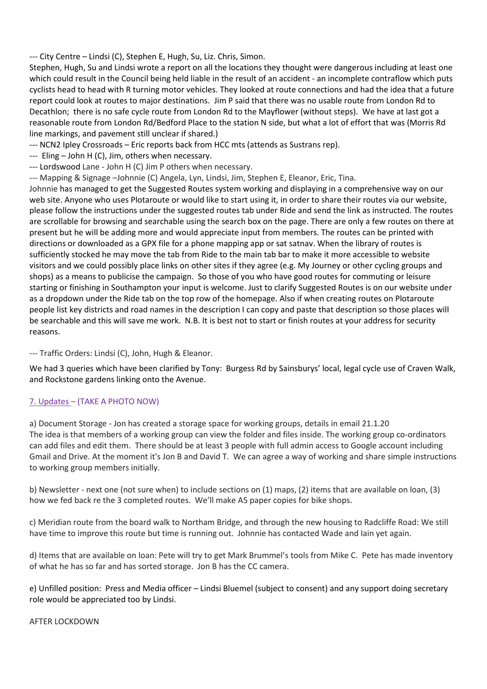--- City Centre – Lindsi (C), Stephen E, Hugh, Su, Liz. Chris, Simon.

Stephen, Hugh, Su and Lindsi wrote a report on all the locations they thought were dangerous including at least one which could result in the Council being held liable in the result of an accident - an incomplete contraflow which puts cyclists head to head with R turning motor vehicles. They looked at route connections and had the idea that a future report could look at routes to major destinations. Jim P said that there was no usable route from London Rd to Decathlon; there is no safe cycle route from London Rd to the Mayflower (without steps). We have at last got a reasonable route from London Rd/Bedford Place to the station N side, but what a lot of effort that was (Morris Rd line markings, and pavement still unclear if shared.)

--- NCN2 Ipley Crossroads – Eric reports back from HCC mts (attends as Sustrans rep).

--- Eling – John H (C), Jim, others when necessary.

--- Lordswood Lane - John H (C) Jim P others when necessary.

--- Mapping & Signage –Johnnie (C) Angela, Lyn, Lindsi, Jim, Stephen E, Eleanor, Eric, Tina.

Johnnie has managed to get the Suggested Routes system working and displaying in a comprehensive way on our web site. Anyone who uses Plotaroute or would like to start using it, in order to share their routes via our website, please follow the instructions under the suggested routes tab under Ride and send the link as instructed. The routes are scrollable for browsing and searchable using the search box on the page. There are only a few routes on there at present but he will be adding more and would appreciate input from members. The routes can be printed with directions or downloaded as a GPX file for a phone mapping app or sat satnav. When the library of routes is sufficiently stocked he may move the tab from Ride to the main tab bar to make it more accessible to website visitors and we could possibly place links on other sites if they agree (e.g. My Journey or other cycling groups and shops) as a means to publicise the campaign. So those of you who have good routes for commuting or leisure starting or finishing in Southampton your input is welcome. Just to clarify Suggested Routes is on our website under as a dropdown under the Ride tab on the top row of the homepage. Also if when creating routes on Plotaroute people list key districts and road names in the description I can copy and paste that description so those places will be searchable and this will save me work. N.B. It is best not to start or finish routes at your address for security reasons.

--- Traffic Orders: Lindsi (C), John, Hugh & Eleanor.

We had 3 queries which have been clarified by Tony: Burgess Rd by Sainsburys' local, legal cycle use of Craven Walk, and Rockstone gardens linking onto the Avenue.

# 7. Updates – (TAKE A PHOTO NOW)

a) Document Storage - Jon has created a storage space for working groups, details in email 21.1.20 The idea is that members of a working group can view the folder and files inside. The working group co-ordinators can add files and edit them. There should be at least 3 people with full admin access to Google account including Gmail and Drive. At the moment it's Jon B and David T. We can agree a way of working and share simple instructions to working group members initially.

b) Newsletter - next one (not sure when) to include sections on (1) maps, (2) items that are available on loan, (3) how we fed back re the 3 completed routes. We'll make A5 paper copies for bike shops.

c) Meridian route from the board walk to Northam Bridge, and through the new housing to Radcliffe Road: We still have time to improve this route but time is running out. Johnnie has contacted Wade and Iain yet again.

d) Items that are available on loan: Pete will try to get Mark Brummel's tools from Mike C. Pete has made inventory of what he has so far and has sorted storage. Jon B has the CC camera.

e) Unfilled position: Press and Media officer – Lindsi Bluemel (subject to consent) and any support doing secretary role would be appreciated too by Lindsi.

## AFTER LOCKDOWN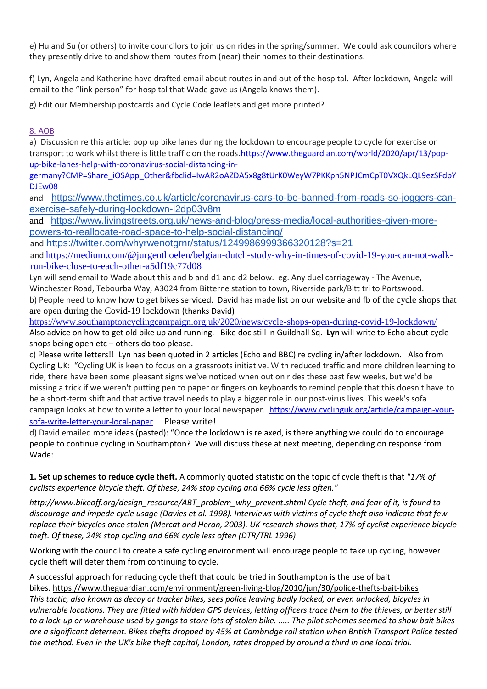e) Hu and Su (or others) to invite councilors to join us on rides in the spring/summer. We could ask councilors where they presently drive to and show them routes from (near) their homes to their destinations.

f) Lyn, Angela and Katherine have drafted email about routes in and out of the hospital. After lockdown, Angela will email to the "link person" for hospital that Wade gave us (Angela knows them).

g) Edit our Membership postcards and Cycle Code leaflets and get more printed?

# 8. AOB

a) Discussion re this article: pop up bike lanes during the lockdown to encourage people to cycle for exercise or transport to work whilst there is little traffic on the roads.[https://www.theguardian.com/world/2020/apr/13/pop](https://www.theguardian.com/world/2020/apr/13/pop-up-bike-lanes-help-with-coronavirus-social-distancing-in-germany?CMP=Share_iOSApp_Other&fbclid=IwAR2oAZDA5x8g8tUrK0WeyW7PKKph5NPJCmCpT0VXQkLQL9ezSFdpYDJEw08)[up-bike-lanes-help-with-coronavirus-social-distancing-in-](https://www.theguardian.com/world/2020/apr/13/pop-up-bike-lanes-help-with-coronavirus-social-distancing-in-germany?CMP=Share_iOSApp_Other&fbclid=IwAR2oAZDA5x8g8tUrK0WeyW7PKKph5NPJCmCpT0VXQkLQL9ezSFdpYDJEw08)

[germany?CMP=Share\\_iOSApp\\_Other&fbclid=IwAR2oAZDA5x8g8tUrK0WeyW7PKKph5NPJCmCpT0VXQkLQL9ezSFdpY](https://www.theguardian.com/world/2020/apr/13/pop-up-bike-lanes-help-with-coronavirus-social-distancing-in-germany?CMP=Share_iOSApp_Other&fbclid=IwAR2oAZDA5x8g8tUrK0WeyW7PKKph5NPJCmCpT0VXQkLQL9ezSFdpYDJEw08) [DJEw08](https://www.theguardian.com/world/2020/apr/13/pop-up-bike-lanes-help-with-coronavirus-social-distancing-in-germany?CMP=Share_iOSApp_Other&fbclid=IwAR2oAZDA5x8g8tUrK0WeyW7PKKph5NPJCmCpT0VXQkLQL9ezSFdpYDJEw08) 

and [https://www.thetimes.co.uk/article/coronavirus-cars-to-be-banned-from-roads-so-joggers-can](https://www.thetimes.co.uk/article/coronavirus-cars-to-be-banned-from-roads-so-joggers-can-exercise-safely-during-lockdown-l2dp03v8m)[exercise-safely-during-lockdown-l2dp03v8m](https://www.thetimes.co.uk/article/coronavirus-cars-to-be-banned-from-roads-so-joggers-can-exercise-safely-during-lockdown-l2dp03v8m)

and [https://www.livingstreets.org.uk/news-and-blog/press-media/local-authorities-given-more](https://www.livingstreets.org.uk/news-and-blog/press-media/local-authorities-given-more-powers-to-reallocate-road-space-to-help-social-distancing/)[powers-to-reallocate-road-space-to-help-social-distancing/](https://www.livingstreets.org.uk/news-and-blog/press-media/local-authorities-given-more-powers-to-reallocate-road-space-to-help-social-distancing/)

and <https://twitter.com/whyrwenotgrnr/status/1249986999366320128?s=21>

and [https://medium.com/@jurgenthoelen/belgian-dutch-study-why-in-times-of-covid-19-you-can-not-walk](https://medium.com/@jurgenthoelen/belgian-dutch-study-why-in-times-of-covid-19-you-can-not-walk-run-bike-close-to-each-other-a5df19c77d08)[run-bike-close-to-each-other-a5df19c77d08](https://medium.com/@jurgenthoelen/belgian-dutch-study-why-in-times-of-covid-19-you-can-not-walk-run-bike-close-to-each-other-a5df19c77d08)

Lyn will send email to Wade about this and b and d1 and d2 below. eg. Any duel carriageway - The Avenue, Winchester Road, Tebourba Way, A3024 from Bitterne station to town, Riverside park/Bitt tri to Portswood. b) People need to know how to get bikes serviced. David has made list on our website and fb of the cycle shops that are open during the Covid-19 lockdown (thanks David)

[https://www.southamptoncyclingcampaign.org.uk/2020/news/cycle-shops-open-during-covid-19-lockdown/](https://l.facebook.com/l.php?u=https%3A%2F%2Fwww.southamptoncyclingcampaign.org.uk%2F2020%2Fnews%2Fcycle-shops-open-during-covid-19-lockdown%2F%3Ffbclid%3DIwAR02R5bhm9Kc40GaycUn2EqgypuZJDiIv9diu-MbYdDZdCJFh2R2nSdIYSU&h=AT0DsAYdlaURe3jrylJQPyCUlaYJRSWVhAhnZfaW2fP0_yI2DjswO_9TdYbk_P-v_9uXolPYvLQKB3Pb5MONq3EX8dmg4Iqir6QGTiyUrMrYvgaaCax4DVu1f8cI-n4BFuM&__tn__=-UK-R&c%5b0%5d=AT3ECkiSkV_gusAanyF0pHlYDz7XiYVSMinS_UgHH04Pa2eZdJtDzgRYgQpHXoufh70EqhajuOehdT6cyipIKwJJFOumdRLWM-x62DZ3nuWqmI-LBwi8rK0a74EpGZWu6NmEYZaK69OnFpiB1cD9zVFnnT6RcJjcEGxMiH0a_T5U-VkdwpCbjgVA) Also advice on how to get old bike up and running. Bike doc still in Guildhall Sq. **Lyn** will write to Echo about cycle shops being open etc – others do too please.

c) Please write letters!! Lyn has been quoted in 2 articles (Echo and BBC) re cycling in/after lockdown. Also from Cycling UK: "Cycling UK is keen to focus on a grassroots initiative. With reduced traffic and more children learning to ride, there have been some pleasant signs we've noticed when out on rides these past few weeks, but we'd be missing a trick if we weren't putting pen to paper or fingers on keyboards to remind people that this doesn't have to be a short-term shift and that active travel needs to play a bigger role in our post-virus lives. This week's sofa campaign looks at how to write a letter to your local newspaper. [https://www.cyclinguk.org/article/campaign-your](https://www.cyclinguk.org/article/campaign-your-sofa-write-letter-your-local-paper)[sofa-write-letter-your-local-paper](https://www.cyclinguk.org/article/campaign-your-sofa-write-letter-your-local-paper) Please write!

d) David emailed more ideas (pasted): "Once the lockdown is relaxed, is there anything we could do to encourage people to continue cycling in Southampton? We will discuss these at next meeting, depending on response from Wade:

**1. Set up schemes to reduce cycle theft.** A commonly quoted statistic on the topic of cycle theft is that *"17% of cyclists experience bicycle theft. Of these, 24% stop cycling and 66% cycle less often."*

*[http://www.bikeoff.org/design\\_resource/ABT\\_problem\\_why\\_prevent.shtml](http://www.bikeoff.org/design_resource/ABT_problem_why_prevent.shtml) Cycle theft, and fear of it, is found to discourage and impede cycle usage (Davies et al. 1998). Interviews with victims of cycle theft also indicate that few replace their bicycles once stolen (Mercat and Heran, 2003). UK research shows that, 17% of cyclist experience bicycle theft. Of these, 24% stop cycling and 66% cycle less often (DTR/TRL 1996)*

Working with the council to create a safe cycling environment will encourage people to take up cycling, however cycle theft will deter them from continuing to cycle.

A successful approach for reducing cycle theft that could be tried in Southampton is the use of bait bikes. <https://www.theguardian.com/environment/green-living-blog/2010/jun/30/police-thefts-bait-bikes> *This tactic, also known as decoy or tracker bikes, sees police leaving badly locked, or even unlocked, bicycles in vulnerable locations. They are fitted with hidden GPS devices, letting officers trace them to the thieves, or better still to a lock-up or warehouse used by gangs to store lots of stolen bike. ..... The pilot schemes seemed to show bait bikes are a significant deterrent. Bikes thefts dropped by 45% at Cambridge rail station when British Transport Police tested the method. Even in the UK's bike theft capital, London, rates dropped by around a third in one local trial.*